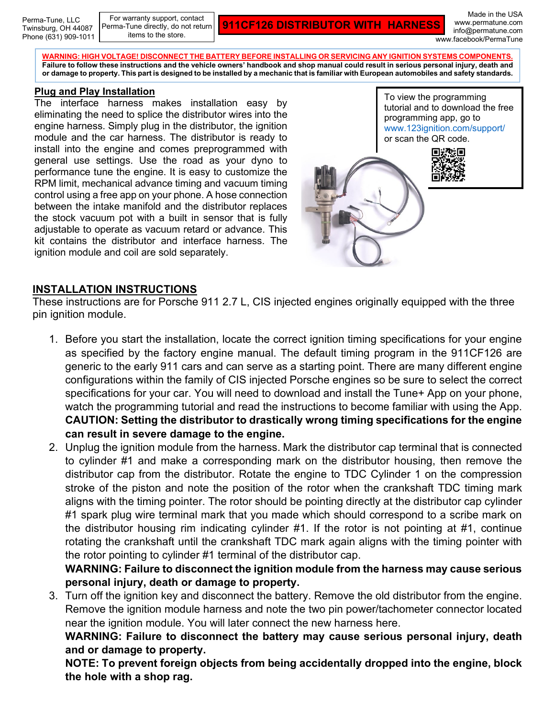Perma-Tune, LLC Twinsburg, OH 44087 Phone (631) 909-1011

For warranty support, contact Perma-Tune directly, do not return items to the store.

**911CF126 DISTRIBUTOR WITH HARNESS**

Made in the USA www.permatune.com info@permatune.com www.facebook/PermaTune

**WARNING: HIGH VOLTAGE! DISCONNECT THE BATTERY BEFORE INSTALLING OR SERVICING ANY IGNITION SYSTEMS COMPONENTS. Failure to follow these instructions and the vehicle owners' handbook and shop manual could result in serious personal injury, death and or damage to property. This part is designed to be installed by a mechanic that is familiar with European automobiles and safety standards.**

## **Plug and Play Installation**

The interface harness makes installation easy by eliminating the need to splice the distributor wires into the engine harness. Simply plug in the distributor, the ignition module and the car harness. The distributor is ready to install into the engine and comes preprogrammed with general use settings. Use the road as your dyno to performance tune the engine. It is easy to customize the RPM limit, mechanical advance timing and vacuum timing control using a free app on your phone. A hose connection between the intake manifold and the distributor replaces the stock vacuum pot with a built in sensor that is fully adjustable to operate as vacuum retard or advance. This kit contains the distributor and interface harness. The ignition module and coil are sold separately.



## **INSTALLATION INSTRUCTIONS**

These instructions are for Porsche 911 2.7 L, CIS injected engines originally equipped with the three pin ignition module.

- 1. Before you start the installation, locate the correct ignition timing specifications for your engine as specified by the factory engine manual. The default timing program in the 911CF126 are generic to the early 911 cars and can serve as a starting point. There are many different engine configurations within the family of CIS injected Porsche engines so be sure to select the correct specifications for your car. You will need to download and install the Tune+ App on your phone, watch the programming tutorial and read the instructions to become familiar with using the App. **CAUTION: Setting the distributor to drastically wrong timing specifications for the engine can result in severe damage to the engine.**
- 2. Unplug the ignition module from the harness. Mark the distributor cap terminal that is connected to cylinder #1 and make a corresponding mark on the distributor housing, then remove the distributor cap from the distributor. Rotate the engine to TDC Cylinder 1 on the compression stroke of the piston and note the position of the rotor when the crankshaft TDC timing mark aligns with the timing pointer. The rotor should be pointing directly at the distributor cap cylinder #1 spark plug wire terminal mark that you made which should correspond to a scribe mark on the distributor housing rim indicating cylinder #1. If the rotor is not pointing at #1, continue rotating the crankshaft until the crankshaft TDC mark again aligns with the timing pointer with the rotor pointing to cylinder #1 terminal of the distributor cap.

**WARNING: Failure to disconnect the ignition module from the harness may cause serious personal injury, death or damage to property.**

3. Turn off the ignition key and disconnect the battery. Remove the old distributor from the engine. Remove the ignition module harness and note the two pin power/tachometer connector located near the ignition module. You will later connect the new harness here.

**WARNING: Failure to disconnect the battery may cause serious personal injury, death and or damage to property.** 

**NOTE: To prevent foreign objects from being accidentally dropped into the engine, block the hole with a shop rag.**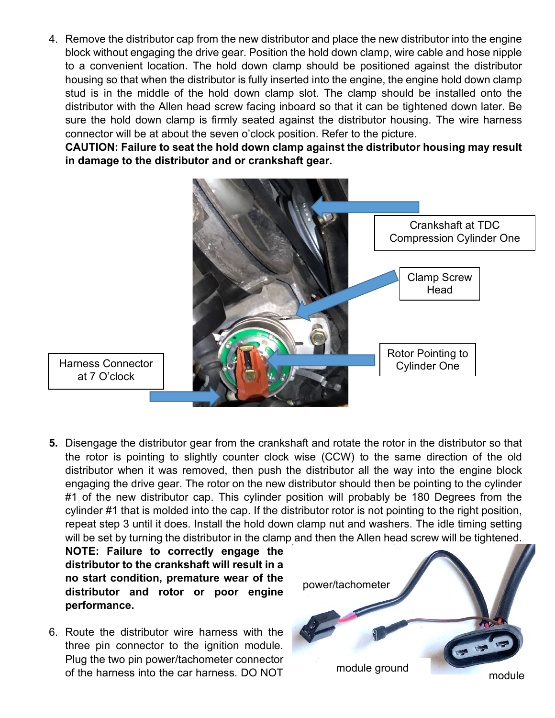4. Remove the distributor cap from the new distributor and place the new distributor into the engine block without engaging the drive gear. Position the hold down clamp, wire cable and hose nipple to a convenient location. The hold down clamp should be positioned against the distributor housing so that when the distributor is fully inserted into the engine, the engine hold down clamp stud is in the middle of the hold down clamp slot. The clamp should be installed onto the distributor with the Allen head screw facing inboard so that it can be tightened down later. Be sure the hold down clamp is firmly seated against the distributor housing. The wire harness connector will be at about the seven o'clock position. Refer to the picture.

**CAUTION: Failure to seat the hold down clamp against the distributor housing may result in damage to the distributor and or crankshaft gear.**



- Harness Connector
- **5.** Disengage the distributor gear from the crankshaft and rotate the rotor in the distributor so that the rotor is pointing to slightly counter clock wise (CCW) to the same direction of the old distributor when it was removed, then push the distributor all the way into the engine block engaging the drive gear. The rotor on the new distributor should then be pointing to the cylinder #1 of the new distributor cap. This cylinder position will probably be 180 Degrees from the cylinder #1 that is molded into the cap. If the distributor rotor is not pointing to the right position, repeat step 3 until it does. Install the hold down clamp nut and washers. The idle timing setting will be set by turning the distributor in the clamp and then the Allen head screw will be tightened.

**NOTE: Failure to correctly engage the distributor to the crankshaft will result in a no start condition, premature wear of the distributor and rotor or poor engine performance.**

6. Route the distributor wire harness with the three pin connector to the ignition module. Plug the two pin power/tachometer connector of the harness into the car harness. DO NOT

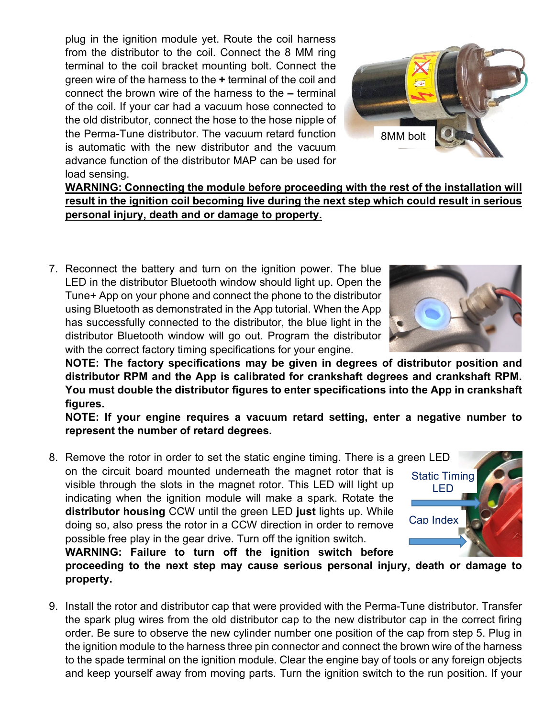plug in the ignition module yet. Route the coil harness from the distributor to the coil. Connect the 8 MM ring terminal to the coil bracket mounting bolt. Connect the green wire of the harness to the **+** terminal of the coil and connect the brown wire of the harness to the **–** terminal of the coil. If your car had a vacuum hose connected to the old distributor, connect the hose to the hose nipple of the Perma-Tune distributor. The vacuum retard function is automatic with the new distributor and the vacuum advance function of the distributor MAP can be used for load sensing.



**WARNING: Connecting the module before proceeding with the rest of the installation will result in the ignition coil becoming live during the next step which could result in serious personal injury, death and or damage to property.**

7. Reconnect the battery and turn on the ignition power. The blue LED in the distributor Bluetooth window should light up. Open the Tune+ App on your phone and connect the phone to the distributor using Bluetooth as demonstrated in the App tutorial. When the App has successfully connected to the distributor, the blue light in the distributor Bluetooth window will go out. Program the distributor with the correct factory timing specifications for your engine.

**NOTE: The factory specifications may be given in degrees of distributor position and distributor RPM and the App is calibrated for crankshaft degrees and crankshaft RPM. You must double the distributor figures to enter specifications into the App in crankshaft figures.**

**NOTE: If your engine requires a vacuum retard setting, enter a negative number to represent the number of retard degrees.**

8. Remove the rotor in order to set the static engine timing. There is a green LED on the circuit board mounted underneath the magnet rotor that is visible through the slots in the magnet rotor. This LED will light up indicating when the ignition module will make a spark. Rotate the **distributor housing** CCW until the green LED **just** lights up. While doing so, also press the rotor in a CCW direction in order to remove possible free play in the gear drive. Turn off the ignition switch.

Static Timing LED Cap Index

**WARNING: Failure to turn off the ignition switch before proceeding to the next step may cause serious personal injury, death or damage to property.**

9. Install the rotor and distributor cap that were provided with the Perma-Tune distributor. Transfer the spark plug wires from the old distributor cap to the new distributor cap in the correct firing order. Be sure to observe the new cylinder number one position of the cap from step 5. Plug in the ignition module to the harness three pin connector and connect the brown wire of the harness to the spade terminal on the ignition module. Clear the engine bay of tools or any foreign objects and keep yourself away from moving parts. Turn the ignition switch to the run position. If your

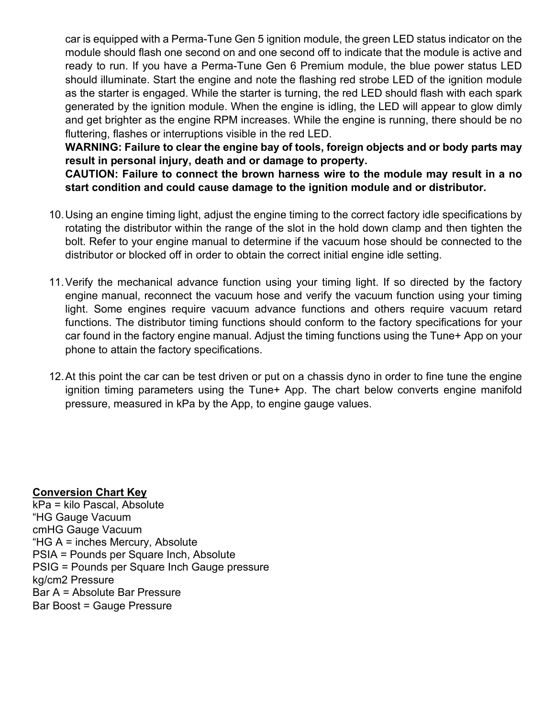car is equipped with a Perma-Tune Gen 5 ignition module, the green LED status indicator on the module should flash one second on and one second off to indicate that the module is active and ready to run. If you have a Perma-Tune Gen 6 Premium module, the blue power status LED should illuminate. Start the engine and note the flashing red strobe LED of the ignition module as the starter is engaged. While the starter is turning, the red LED should flash with each spark generated by the ignition module. When the engine is idling, the LED will appear to glow dimly and get brighter as the engine RPM increases. While the engine is running, there should be no fluttering, flashes or interruptions visible in the red LED.

**WARNING: Failure to clear the engine bay of tools, foreign objects and or body parts may result in personal injury, death and or damage to property.**

**CAUTION: Failure to connect the brown harness wire to the module may result in a no start condition and could cause damage to the ignition module and or distributor.**

- 10.Using an engine timing light, adjust the engine timing to the correct factory idle specifications by rotating the distributor within the range of the slot in the hold down clamp and then tighten the bolt. Refer to your engine manual to determine if the vacuum hose should be connected to the distributor or blocked off in order to obtain the correct initial engine idle setting.
- 11.Verify the mechanical advance function using your timing light. If so directed by the factory engine manual, reconnect the vacuum hose and verify the vacuum function using your timing light. Some engines require vacuum advance functions and others require vacuum retard functions. The distributor timing functions should conform to the factory specifications for your car found in the factory engine manual. Adjust the timing functions using the Tune+ App on your phone to attain the factory specifications.
- 12.At this point the car can be test driven or put on a chassis dyno in order to fine tune the engine ignition timing parameters using the Tune+ App. The chart below converts engine manifold pressure, measured in kPa by the App, to engine gauge values.

## **Conversion Chart Key**

kPa = kilo Pascal, Absolute "HG Gauge Vacuum cmHG Gauge Vacuum "HG A = inches Mercury, Absolute PSIA = Pounds per Square Inch, Absolute PSIG = Pounds per Square Inch Gauge pressure kg/cm2 Pressure Bar A = Absolute Bar Pressure Bar Boost = Gauge Pressure